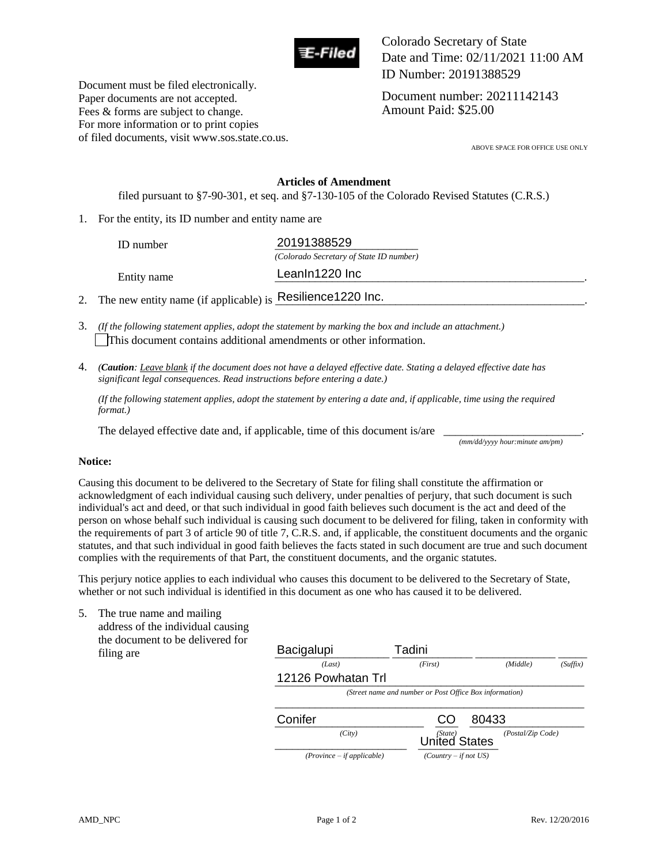

Colorado Secretary of State Date and Time: 02/11/2021 11:00 AM ID Number: 20191388529

Document number: 20211142143 Amount Paid: \$25.00

ABOVE SPACE FOR OFFICE USE ONLY

## **Articles of Amendment**

filed pursuant to §7-90-301, et seq. and §7-130-105 of the Colorado Revised Statutes (C.R.S.)

1. For the entity, its ID number and entity name are

Document must be filed electronically. Paper documents are not accepted. Fees & forms are subject to change. For more information or to print copies of filed documents, visit www.sos.state.co.us.

| <b>ID</b> number                                               | 20191388529<br>(Colorado Secretary of State ID number) |  |
|----------------------------------------------------------------|--------------------------------------------------------|--|
| Entity name                                                    | LeanIn1220 Inc                                         |  |
| 2. The new entity name (if applicable) is Resilience 1220 Inc. |                                                        |  |

- 3. *(If the following statement applies, adopt the statement by marking the box and include an attachment.)*  This document contains additional amendments or other information.
- 4. *(Caution: Leave blank if the document does not have a delayed effective date. Stating a delayed effective date has significant legal consequences. Read instructions before entering a date.)*

*(If the following statement applies, adopt the statement by entering a date and, if applicable, time using the required format.)* 

The delayed effective date and, if applicable, time of this document is/are \_

 *(mm/dd/yyyy hour:minute am/pm)* 

## **Notice:**

Causing this document to be delivered to the Secretary of State for filing shall constitute the affirmation or acknowledgment of each individual causing such delivery, under penalties of perjury, that such document is such individual's act and deed, or that such individual in good faith believes such document is the act and deed of the person on whose behalf such individual is causing such document to be delivered for filing, taken in conformity with the requirements of part 3 of article 90 of title 7, C.R.S. and, if applicable, the constituent documents and the organic statutes, and that such individual in good faith believes the facts stated in such document are true and such document complies with the requirements of that Part, the constituent documents, and the organic statutes.

This perjury notice applies to each individual who causes this document to be delivered to the Secretary of State, whether or not such individual is identified in this document as one who has caused it to be delivered.

| 5. | The true name and mailing<br>address of the individual causing<br>the document to be delivered for<br>filing are | Bacigalupi                                              | Tadini  |                                                                      |          |          |  |
|----|------------------------------------------------------------------------------------------------------------------|---------------------------------------------------------|---------|----------------------------------------------------------------------|----------|----------|--|
|    |                                                                                                                  | (Last)                                                  | (First) |                                                                      | (Middle) | (Suffix) |  |
|    |                                                                                                                  | 12126 Powhatan Trl                                      |         |                                                                      |          |          |  |
|    |                                                                                                                  | (Street name and number or Post Office Box information) |         |                                                                      |          |          |  |
|    |                                                                                                                  | Conifer                                                 | CO      | 80433                                                                |          |          |  |
|    |                                                                                                                  | (City)                                                  | (State) | (Postal/Zip Code)<br><b>United States</b><br>$(Country - if not US)$ |          |          |  |
|    |                                                                                                                  | $(Province - if applicable)$                            |         |                                                                      |          |          |  |